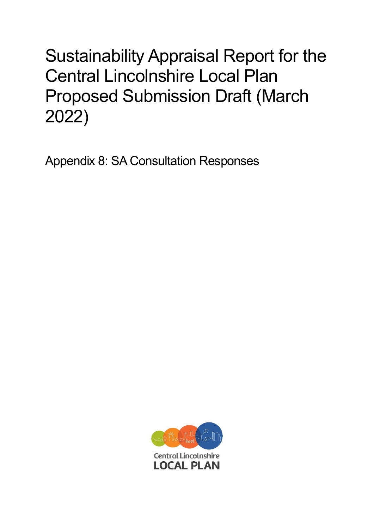## Sustainability Appraisal Report for the Central Lincolnshire Local Plan Proposed Submission Draft (March 2022)

Appendix 8: SA Consultation Responses

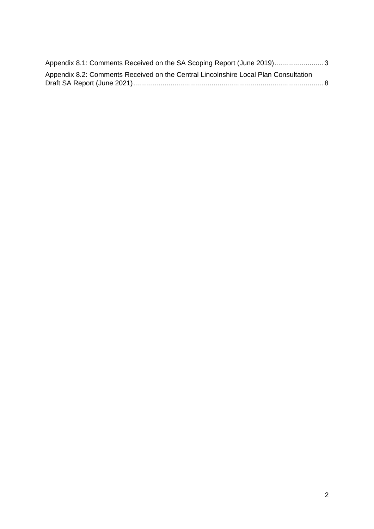| Appendix 8.1: Comments Received on the SA Scoping Report (June 2019)3               |  |
|-------------------------------------------------------------------------------------|--|
| Appendix 8.2: Comments Received on the Central Lincolnshire Local Plan Consultation |  |
|                                                                                     |  |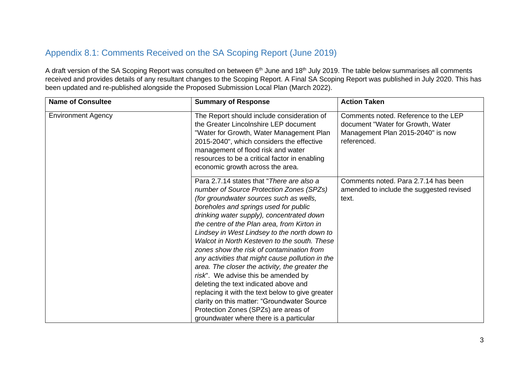## Appendix 8.1: Comments Received on the SA Scoping Report (June 2019)

A draft version of the SA Scoping Report was consulted on between 6<sup>th</sup> June and 18<sup>th</sup> July 2019. The table below summarises all comments received and provides details of any resultant changes to the Scoping Report. A Final SA Scoping Report was published in July 2020. This has been updated and re-published alongside the Proposed Submission Local Plan (March 2022).

<span id="page-2-0"></span>

| <b>Name of Consultee</b>  | <b>Summary of Response</b>                                                                                                                                                                                                                                                                                                                                                                                                                                                                                                                                                                                                                                                                                                                                                                     | <b>Action Taken</b>                                                                                                           |
|---------------------------|------------------------------------------------------------------------------------------------------------------------------------------------------------------------------------------------------------------------------------------------------------------------------------------------------------------------------------------------------------------------------------------------------------------------------------------------------------------------------------------------------------------------------------------------------------------------------------------------------------------------------------------------------------------------------------------------------------------------------------------------------------------------------------------------|-------------------------------------------------------------------------------------------------------------------------------|
| <b>Environment Agency</b> | The Report should include consideration of<br>the Greater Lincolnshire LEP document<br>"Water for Growth, Water Management Plan<br>2015-2040", which considers the effective<br>management of flood risk and water<br>resources to be a critical factor in enabling<br>economic growth across the area.                                                                                                                                                                                                                                                                                                                                                                                                                                                                                        | Comments noted. Reference to the LEP<br>document "Water for Growth, Water<br>Management Plan 2015-2040" is now<br>referenced. |
|                           | Para 2.7.14 states that "There are also a<br>number of Source Protection Zones (SPZs)<br>(for groundwater sources such as wells,<br>boreholes and springs used for public<br>drinking water supply), concentrated down<br>the centre of the Plan area, from Kirton in<br>Lindsey in West Lindsey to the north down to<br>Walcot in North Kesteven to the south. These<br>zones show the risk of contamination from<br>any activities that might cause pollution in the<br>area. The closer the activity, the greater the<br>risk". We advise this be amended by<br>deleting the text indicated above and<br>replacing it with the text below to give greater<br>clarity on this matter: "Groundwater Source<br>Protection Zones (SPZs) are areas of<br>groundwater where there is a particular | Comments noted. Para 2.7.14 has been<br>amended to include the suggested revised<br>text.                                     |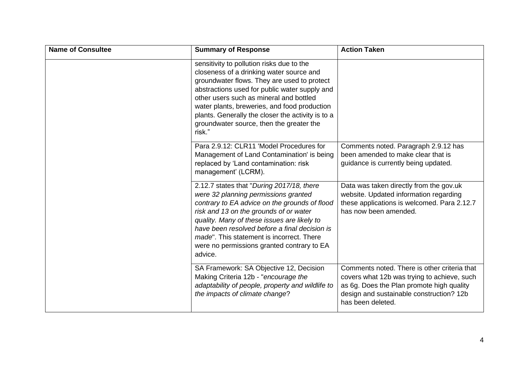| <b>Name of Consultee</b> | <b>Summary of Response</b>                                                                                                                                                                                                                                                                                                                                                                  | <b>Action Taken</b>                                                                                                                                                                                       |
|--------------------------|---------------------------------------------------------------------------------------------------------------------------------------------------------------------------------------------------------------------------------------------------------------------------------------------------------------------------------------------------------------------------------------------|-----------------------------------------------------------------------------------------------------------------------------------------------------------------------------------------------------------|
|                          | sensitivity to pollution risks due to the<br>closeness of a drinking water source and<br>groundwater flows. They are used to protect<br>abstractions used for public water supply and<br>other users such as mineral and bottled<br>water plants, breweries, and food production<br>plants. Generally the closer the activity is to a<br>groundwater source, then the greater the<br>risk." |                                                                                                                                                                                                           |
|                          | Para 2.9.12: CLR11 'Model Procedures for<br>Management of Land Contamination' is being<br>replaced by 'Land contamination: risk<br>management' (LCRM).                                                                                                                                                                                                                                      | Comments noted. Paragraph 2.9.12 has<br>been amended to make clear that is<br>guidance is currently being updated.                                                                                        |
|                          | 2.12.7 states that "During 2017/18, there<br>were 32 planning permissions granted<br>contrary to EA advice on the grounds of flood<br>risk and 13 on the grounds of or water<br>quality. Many of these issues are likely to<br>have been resolved before a final decision is<br><i>made</i> ". This statement is incorrect. There<br>were no permissions granted contrary to EA<br>advice.  | Data was taken directly from the gov.uk<br>website. Updated information regarding<br>these applications is welcomed. Para 2.12.7<br>has now been amended.                                                 |
|                          | SA Framework: SA Objective 12, Decision<br>Making Criteria 12b - "encourage the<br>adaptability of people, property and wildlife to<br>the impacts of climate change?                                                                                                                                                                                                                       | Comments noted. There is other criteria that<br>covers what 12b was trying to achieve, such<br>as 6g. Does the Plan promote high quality<br>design and sustainable construction? 12b<br>has been deleted. |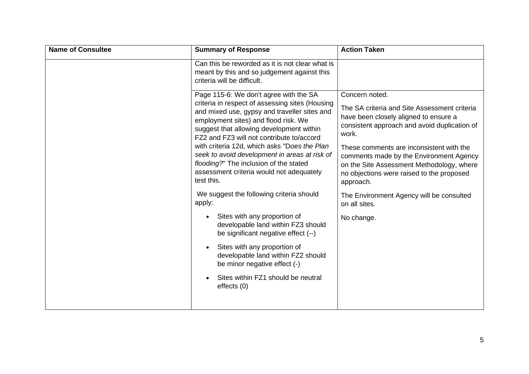| <b>Name of Consultee</b> | <b>Summary of Response</b>                                                                                                                                                                                                                                                                                                                                                                                                                                                                                                            | <b>Action Taken</b>                                                                                                                                                                                                                                                                                                                                                                                                         |
|--------------------------|---------------------------------------------------------------------------------------------------------------------------------------------------------------------------------------------------------------------------------------------------------------------------------------------------------------------------------------------------------------------------------------------------------------------------------------------------------------------------------------------------------------------------------------|-----------------------------------------------------------------------------------------------------------------------------------------------------------------------------------------------------------------------------------------------------------------------------------------------------------------------------------------------------------------------------------------------------------------------------|
|                          | Can this be reworded as it is not clear what is<br>meant by this and so judgement against this<br>criteria will be difficult.                                                                                                                                                                                                                                                                                                                                                                                                         |                                                                                                                                                                                                                                                                                                                                                                                                                             |
|                          | Page 115-6: We don't agree with the SA<br>criteria in respect of assessing sites (Housing<br>and mixed use, gypsy and traveller sites and<br>employment sites) and flood risk. We<br>suggest that allowing development within<br>FZ2 and FZ3 will not contribute to/accord<br>with criteria 12d, which asks "Does the Plan<br>seek to avoid development in areas at risk of<br>flooding?" The inclusion of the stated<br>assessment criteria would not adequately<br>test this.<br>We suggest the following criteria should<br>apply: | Concern noted.<br>The SA criteria and Site Assessment criteria<br>have been closely aligned to ensure a<br>consistent approach and avoid duplication of<br>work.<br>These comments are inconsistent with the<br>comments made by the Environment Agency<br>on the Site Assessment Methodology, where<br>no objections were raised to the proposed<br>approach.<br>The Environment Agency will be consulted<br>on all sites. |
|                          | Sites with any proportion of<br>$\bullet$<br>developable land within FZ3 should<br>be significant negative effect (--)                                                                                                                                                                                                                                                                                                                                                                                                                | No change.                                                                                                                                                                                                                                                                                                                                                                                                                  |
|                          | Sites with any proportion of<br>developable land within FZ2 should<br>be minor negative effect (-)                                                                                                                                                                                                                                                                                                                                                                                                                                    |                                                                                                                                                                                                                                                                                                                                                                                                                             |
|                          | Sites within FZ1 should be neutral<br>effects (0)                                                                                                                                                                                                                                                                                                                                                                                                                                                                                     |                                                                                                                                                                                                                                                                                                                                                                                                                             |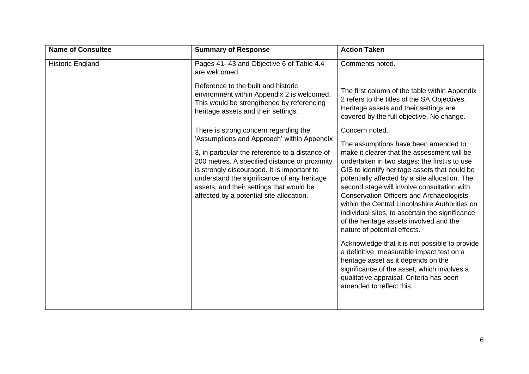| <b>Name of Consultee</b> | <b>Summary of Response</b>                                                                                                                                                                                                                                                                                                           | <b>Action Taken</b>                                                                                                                                                                                                                                                                                                                                                                                                                                                                                                       |
|--------------------------|--------------------------------------------------------------------------------------------------------------------------------------------------------------------------------------------------------------------------------------------------------------------------------------------------------------------------------------|---------------------------------------------------------------------------------------------------------------------------------------------------------------------------------------------------------------------------------------------------------------------------------------------------------------------------------------------------------------------------------------------------------------------------------------------------------------------------------------------------------------------------|
| <b>Historic England</b>  | Pages 41-43 and Objective 6 of Table 4.4<br>are welcomed.<br>Reference to the built and historic                                                                                                                                                                                                                                     | Comments noted.                                                                                                                                                                                                                                                                                                                                                                                                                                                                                                           |
|                          | environment within Appendix 2 is welcomed.<br>This would be strengthened by referencing<br>heritage assets and their settings.                                                                                                                                                                                                       | The first column of the table within Appendix<br>2 refers to the titles of the SA Objectives.<br>Heritage assets and their settings are<br>covered by the full objective. No change.                                                                                                                                                                                                                                                                                                                                      |
|                          | There is strong concern regarding the                                                                                                                                                                                                                                                                                                | Concern noted.                                                                                                                                                                                                                                                                                                                                                                                                                                                                                                            |
|                          | 'Assumptions and Approach' within Appendix<br>3, in particular the reference to a distance of<br>200 metres. A specified distance or proximity<br>is strongly discouraged. It is important to<br>understand the significance of any heritage<br>assets, and their settings that would be<br>affected by a potential site allocation. | The assumptions have been amended to<br>make it clearer that the assessment will be<br>undertaken in two stages: the first is to use<br>GIS to identify heritage assets that could be<br>potentially affected by a site allocation. The<br>second stage will involve consultation with<br><b>Conservation Officers and Archaeologists</b><br>within the Central Lincolnshire Authorities on<br>individual sites, to ascertain the significance<br>of the heritage assets involved and the<br>nature of potential effects. |
|                          |                                                                                                                                                                                                                                                                                                                                      | Acknowledge that it is not possible to provide<br>a definitive, measurable impact test on a<br>heritage asset as it depends on the<br>significance of the asset, which involves a<br>qualitative appraisal. Criteria has been<br>amended to reflect this.                                                                                                                                                                                                                                                                 |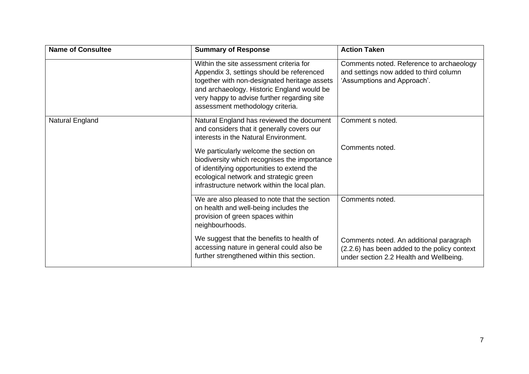| <b>Name of Consultee</b> | <b>Summary of Response</b>                                                                                                                                                                                                                                            | <b>Action Taken</b>                                                                                                                |
|--------------------------|-----------------------------------------------------------------------------------------------------------------------------------------------------------------------------------------------------------------------------------------------------------------------|------------------------------------------------------------------------------------------------------------------------------------|
|                          | Within the site assessment criteria for<br>Appendix 3, settings should be referenced<br>together with non-designated heritage assets<br>and archaeology. Historic England would be<br>very happy to advise further regarding site<br>assessment methodology criteria. | Comments noted. Reference to archaeology<br>and settings now added to third column<br>'Assumptions and Approach'.                  |
| Natural England          | Natural England has reviewed the document<br>and considers that it generally covers our<br>interests in the Natural Environment.                                                                                                                                      | Comment s noted.                                                                                                                   |
|                          | We particularly welcome the section on<br>biodiversity which recognises the importance<br>of identifying opportunities to extend the<br>ecological network and strategic green<br>infrastructure network within the local plan.                                       | Comments noted.                                                                                                                    |
|                          | We are also pleased to note that the section<br>on health and well-being includes the<br>provision of green spaces within<br>neighbourhoods.                                                                                                                          | Comments noted.                                                                                                                    |
|                          | We suggest that the benefits to health of<br>accessing nature in general could also be<br>further strengthened within this section.                                                                                                                                   | Comments noted. An additional paragraph<br>(2.2.6) has been added to the policy context<br>under section 2.2 Health and Wellbeing. |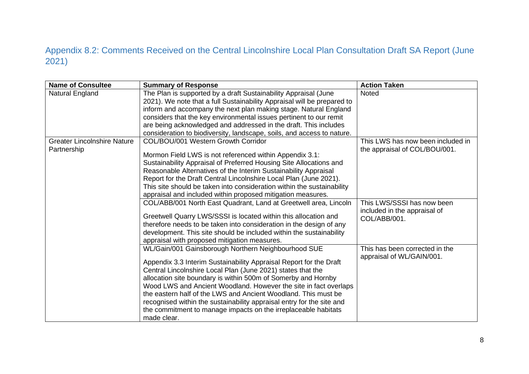## Appendix 8.2: Comments Received on the Central Lincolnshire Local Plan Consultation Draft SA Report (June 2021)

<span id="page-7-0"></span>

| <b>Name of Consultee</b>                          | <b>Summary of Response</b>                                                                                                                 | <b>Action Taken</b>                                                |
|---------------------------------------------------|--------------------------------------------------------------------------------------------------------------------------------------------|--------------------------------------------------------------------|
| Natural England                                   | The Plan is supported by a draft Sustainability Appraisal (June<br>2021). We note that a full Sustainability Appraisal will be prepared to | <b>Noted</b>                                                       |
|                                                   | inform and accompany the next plan making stage. Natural England                                                                           |                                                                    |
|                                                   | considers that the key environmental issues pertinent to our remit                                                                         |                                                                    |
|                                                   | are being acknowledged and addressed in the draft. This includes                                                                           |                                                                    |
|                                                   | consideration to biodiversity, landscape, soils, and access to nature.                                                                     |                                                                    |
| <b>Greater Lincolnshire Nature</b><br>Partnership | COL/BOU/001 Western Growth Corridor                                                                                                        | This LWS has now been included in<br>the appraisal of COL/BOU/001. |
|                                                   | Mormon Field LWS is not referenced within Appendix 3.1:                                                                                    |                                                                    |
|                                                   | Sustainability Appraisal of Preferred Housing Site Allocations and                                                                         |                                                                    |
|                                                   | Reasonable Alternatives of the Interim Sustainability Appraisal                                                                            |                                                                    |
|                                                   | Report for the Draft Central Lincolnshire Local Plan (June 2021).                                                                          |                                                                    |
|                                                   | This site should be taken into consideration within the sustainability                                                                     |                                                                    |
|                                                   | appraisal and included within proposed mitigation measures.                                                                                |                                                                    |
|                                                   | COL/ABB/001 North East Quadrant, Land at Greetwell area, Lincoln                                                                           | This LWS/SSSI has now been<br>included in the appraisal of         |
|                                                   | Greetwell Quarry LWS/SSSI is located within this allocation and                                                                            | COL/ABB/001.                                                       |
|                                                   | therefore needs to be taken into consideration in the design of any                                                                        |                                                                    |
|                                                   | development. This site should be included within the sustainability                                                                        |                                                                    |
|                                                   | appraisal with proposed mitigation measures.                                                                                               |                                                                    |
|                                                   | WL/Gain/001 Gainsborough Northern Neighbourhood SUE                                                                                        | This has been corrected in the<br>appraisal of WL/GAIN/001.        |
|                                                   | Appendix 3.3 Interim Sustainability Appraisal Report for the Draft                                                                         |                                                                    |
|                                                   | Central Lincolnshire Local Plan (June 2021) states that the                                                                                |                                                                    |
|                                                   | allocation site boundary is within 500m of Somerby and Hornby                                                                              |                                                                    |
|                                                   | Wood LWS and Ancient Woodland. However the site in fact overlaps                                                                           |                                                                    |
|                                                   | the eastern half of the LWS and Ancient Woodland. This must be                                                                             |                                                                    |
|                                                   | recognised within the sustainability appraisal entry for the site and                                                                      |                                                                    |
|                                                   | the commitment to manage impacts on the irreplaceable habitats                                                                             |                                                                    |
|                                                   | made clear.                                                                                                                                |                                                                    |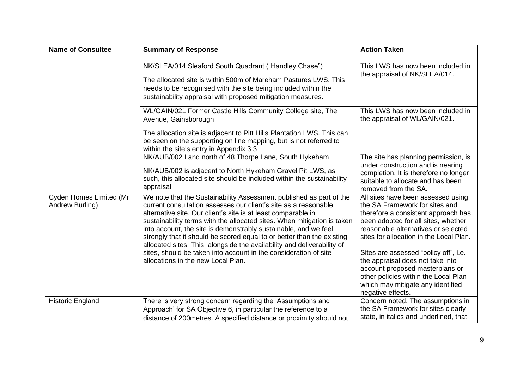| <b>Name of Consultee</b>                   | <b>Summary of Response</b>                                                                                                                                                                                                                                                                                                                                                                                                                                                                                                                                                                                           | <b>Action Taken</b>                                                                                                                                                                                                                                                                                                                                                                                                               |
|--------------------------------------------|----------------------------------------------------------------------------------------------------------------------------------------------------------------------------------------------------------------------------------------------------------------------------------------------------------------------------------------------------------------------------------------------------------------------------------------------------------------------------------------------------------------------------------------------------------------------------------------------------------------------|-----------------------------------------------------------------------------------------------------------------------------------------------------------------------------------------------------------------------------------------------------------------------------------------------------------------------------------------------------------------------------------------------------------------------------------|
|                                            | NK/SLEA/014 Sleaford South Quadrant ("Handley Chase")<br>The allocated site is within 500m of Mareham Pastures LWS. This<br>needs to be recognised with the site being included within the<br>sustainability appraisal with proposed mitigation measures.                                                                                                                                                                                                                                                                                                                                                            | This LWS has now been included in<br>the appraisal of NK/SLEA/014.                                                                                                                                                                                                                                                                                                                                                                |
|                                            | WL/GAIN/021 Former Castle Hills Community College site, The<br>Avenue, Gainsborough<br>The allocation site is adjacent to Pitt Hills Plantation LWS. This can<br>be seen on the supporting on line mapping, but is not referred to<br>within the site's entry in Appendix 3.3                                                                                                                                                                                                                                                                                                                                        | This LWS has now been included in<br>the appraisal of WL/GAIN/021.                                                                                                                                                                                                                                                                                                                                                                |
|                                            | NK/AUB/002 Land north of 48 Thorpe Lane, South Hykeham<br>NK/AUB/002 is adjacent to North Hykeham Gravel Pit LWS, as<br>such, this allocated site should be included within the sustainability<br>appraisal                                                                                                                                                                                                                                                                                                                                                                                                          | The site has planning permission, is<br>under construction and is nearing<br>completion. It is therefore no longer<br>suitable to allocate and has been<br>removed from the SA.                                                                                                                                                                                                                                                   |
| Cyden Homes Limited (Mr<br>Andrew Burling) | We note that the Sustainability Assessment published as part of the<br>current consultation assesses our client's site as a reasonable<br>alternative site. Our client's site is at least comparable in<br>sustainability terms with the allocated sites. When mitigation is taken<br>into account, the site is demonstrably sustainable, and we feel<br>strongly that it should be scored equal to or better than the existing<br>allocated sites. This, alongside the availability and deliverability of<br>sites, should be taken into account in the consideration of site<br>allocations in the new Local Plan. | All sites have been assessed using<br>the SA Framework for sites and<br>therefore a consistent approach has<br>been adopted for all sites, whether<br>reasonable alternatives or selected<br>sites for allocation in the Local Plan.<br>Sites are assessed "policy off", i.e.<br>the appraisal does not take into<br>account proposed masterplans or<br>other policies within the Local Plan<br>which may mitigate any identified |
| <b>Historic England</b>                    | There is very strong concern regarding the 'Assumptions and<br>Approach' for SA Objective 6, in particular the reference to a<br>distance of 200 metres. A specified distance or proximity should not                                                                                                                                                                                                                                                                                                                                                                                                                | negative effects.<br>Concern noted. The assumptions in<br>the SA Framework for sites clearly<br>state, in italics and underlined, that                                                                                                                                                                                                                                                                                            |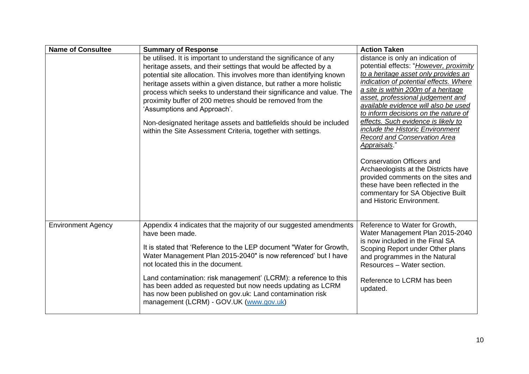| <b>Name of Consultee</b>  | <b>Summary of Response</b>                                                                                                                                                                                                                                                                                                                                                                                                                                                                                                                                                                    | <b>Action Taken</b>                                                                                                                                                                                                                                                                                                                                                                                                                                                                                                                                                                                                                                                                         |
|---------------------------|-----------------------------------------------------------------------------------------------------------------------------------------------------------------------------------------------------------------------------------------------------------------------------------------------------------------------------------------------------------------------------------------------------------------------------------------------------------------------------------------------------------------------------------------------------------------------------------------------|---------------------------------------------------------------------------------------------------------------------------------------------------------------------------------------------------------------------------------------------------------------------------------------------------------------------------------------------------------------------------------------------------------------------------------------------------------------------------------------------------------------------------------------------------------------------------------------------------------------------------------------------------------------------------------------------|
|                           | be utilised. It is important to understand the significance of any<br>heritage assets, and their settings that would be affected by a<br>potential site allocation. This involves more than identifying known<br>heritage assets within a given distance, but rather a more holistic<br>process which seeks to understand their significance and value. The<br>proximity buffer of 200 metres should be removed from the<br>'Assumptions and Approach'.<br>Non-designated heritage assets and battlefields should be included<br>within the Site Assessment Criteria, together with settings. | distance is only an indication of<br>potential effects: "However, proximity<br>to a heritage asset only provides an<br>indication of potential effects. Where<br>a site is within 200m of a heritage<br>asset, professional judgement and<br>available evidence will also be used<br>to inform decisions on the nature of<br>effects. Such evidence is likely to<br>include the Historic Environment<br><b>Record and Conservation Area</b><br><u>Appraisals</u> ."<br><b>Conservation Officers and</b><br>Archaeologists at the Districts have<br>provided comments on the sites and<br>these have been reflected in the<br>commentary for SA Objective Built<br>and Historic Environment. |
| <b>Environment Agency</b> | Appendix 4 indicates that the majority of our suggested amendments<br>have been made.<br>It is stated that 'Reference to the LEP document "Water for Growth,<br>Water Management Plan 2015-2040" is now referenced' but I have<br>not located this in the document.<br>Land contamination: risk management' (LCRM): a reference to this<br>has been added as requested but now needs updating as LCRM<br>has now been published on gov.uk: Land contamination risk<br>management (LCRM) - GOV.UK (www.gov.uk)                                                                                 | Reference to Water for Growth,<br>Water Management Plan 2015-2040<br>is now included in the Final SA<br>Scoping Report under Other plans<br>and programmes in the Natural<br>Resources - Water section.<br>Reference to LCRM has been<br>updated.                                                                                                                                                                                                                                                                                                                                                                                                                                           |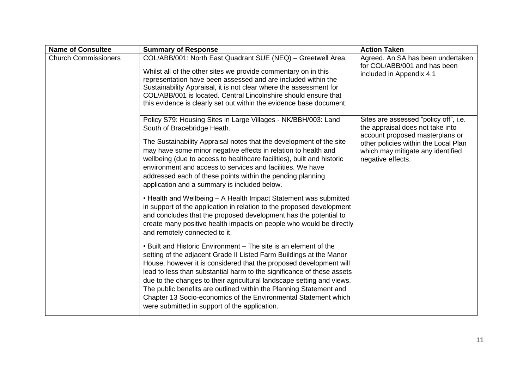| <b>Name of Consultee</b>    | <b>Summary of Response</b>                                                                                                                                                                                                                                                                                                                                                                                                                                                                                                                                 | <b>Action Taken</b>                                                                                                                                                                                            |
|-----------------------------|------------------------------------------------------------------------------------------------------------------------------------------------------------------------------------------------------------------------------------------------------------------------------------------------------------------------------------------------------------------------------------------------------------------------------------------------------------------------------------------------------------------------------------------------------------|----------------------------------------------------------------------------------------------------------------------------------------------------------------------------------------------------------------|
| <b>Church Commissioners</b> | COL/ABB/001: North East Quadrant SUE (NEQ) - Greetwell Area.<br>Whilst all of the other sites we provide commentary on in this<br>representation have been assessed and are included within the<br>Sustainability Appraisal, it is not clear where the assessment for<br>COL/ABB/001 is located. Central Lincolnshire should ensure that<br>this evidence is clearly set out within the evidence base document.                                                                                                                                            | Agreed. An SA has been undertaken<br>for COL/ABB/001 and has been<br>included in Appendix 4.1                                                                                                                  |
|                             | Policy S79: Housing Sites in Large Villages - NK/BBH/003: Land<br>South of Bracebridge Heath.<br>The Sustainability Appraisal notes that the development of the site<br>may have some minor negative effects in relation to health and<br>wellbeing (due to access to healthcare facilities), built and historic<br>environment and access to services and facilities. We have<br>addressed each of these points within the pending planning<br>application and a summary is included below.                                                               | Sites are assessed "policy off", i.e.<br>the appraisal does not take into<br>account proposed masterplans or<br>other policies within the Local Plan<br>which may mitigate any identified<br>negative effects. |
|                             | • Health and Wellbeing - A Health Impact Statement was submitted<br>in support of the application in relation to the proposed development<br>and concludes that the proposed development has the potential to<br>create many positive health impacts on people who would be directly<br>and remotely connected to it.                                                                                                                                                                                                                                      |                                                                                                                                                                                                                |
|                             | • Built and Historic Environment – The site is an element of the<br>setting of the adjacent Grade II Listed Farm Buildings at the Manor<br>House, however it is considered that the proposed development will<br>lead to less than substantial harm to the significance of these assets<br>due to the changes to their agricultural landscape setting and views.<br>The public benefits are outlined within the Planning Statement and<br>Chapter 13 Socio-economics of the Environmental Statement which<br>were submitted in support of the application. |                                                                                                                                                                                                                |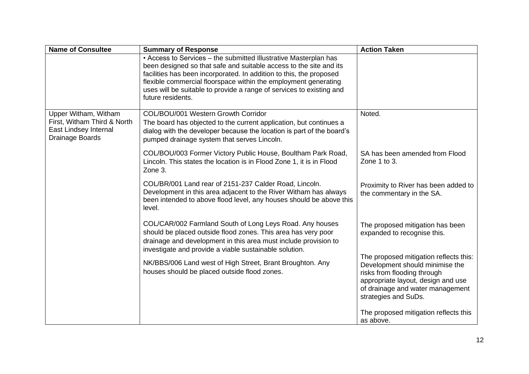| <b>Name of Consultee</b>                                                                        | <b>Summary of Response</b>                                                                                                                                                                                                                                                                                                                                                    | <b>Action Taken</b>                                                                                                                                                                                        |
|-------------------------------------------------------------------------------------------------|-------------------------------------------------------------------------------------------------------------------------------------------------------------------------------------------------------------------------------------------------------------------------------------------------------------------------------------------------------------------------------|------------------------------------------------------------------------------------------------------------------------------------------------------------------------------------------------------------|
|                                                                                                 | • Access to Services - the submitted Illustrative Masterplan has<br>been designed so that safe and suitable access to the site and its<br>facilities has been incorporated. In addition to this, the proposed<br>flexible commercial floorspace within the employment generating<br>uses will be suitable to provide a range of services to existing and<br>future residents. |                                                                                                                                                                                                            |
| Upper Witham, Witham<br>First, Witham Third & North<br>East Lindsey Internal<br>Drainage Boards | COL/BOU/001 Western Growth Corridor<br>The board has objected to the current application, but continues a<br>dialog with the developer because the location is part of the board's<br>pumped drainage system that serves Lincoln.                                                                                                                                             | Noted.                                                                                                                                                                                                     |
|                                                                                                 | COL/BOU/003 Former Victory Public House, Boultham Park Road,<br>Lincoln. This states the location is in Flood Zone 1, it is in Flood<br>Zone 3.                                                                                                                                                                                                                               | SA has been amended from Flood<br>Zone 1 to 3.                                                                                                                                                             |
|                                                                                                 | COL/BR/001 Land rear of 2151-237 Calder Road, Lincoln.<br>Development in this area adjacent to the River Witham has always<br>been intended to above flood level, any houses should be above this<br>level.                                                                                                                                                                   | Proximity to River has been added to<br>the commentary in the SA.                                                                                                                                          |
|                                                                                                 | COL/CAR/002 Farmland South of Long Leys Road. Any houses<br>should be placed outside flood zones. This area has very poor<br>drainage and development in this area must include provision to<br>investigate and provide a viable sustainable solution.                                                                                                                        | The proposed mitigation has been<br>expanded to recognise this.                                                                                                                                            |
|                                                                                                 | NK/BBS/006 Land west of High Street, Brant Broughton. Any<br>houses should be placed outside flood zones.                                                                                                                                                                                                                                                                     | The proposed mitigation reflects this:<br>Development should minimise the<br>risks from flooding through<br>appropriate layout, design and use<br>of drainage and water management<br>strategies and SuDs. |
|                                                                                                 |                                                                                                                                                                                                                                                                                                                                                                               | The proposed mitigation reflects this<br>as above.                                                                                                                                                         |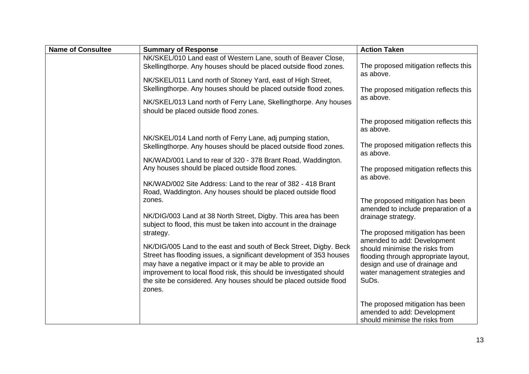| <b>Name of Consultee</b> | <b>Summary of Response</b>                                                                                                                                                                                                                                                                                                                                                | <b>Action Taken</b>                                                                                                                                                                                                     |
|--------------------------|---------------------------------------------------------------------------------------------------------------------------------------------------------------------------------------------------------------------------------------------------------------------------------------------------------------------------------------------------------------------------|-------------------------------------------------------------------------------------------------------------------------------------------------------------------------------------------------------------------------|
|                          | NK/SKEL/010 Land east of Western Lane, south of Beaver Close,<br>Skellingthorpe. Any houses should be placed outside flood zones.<br>NK/SKEL/011 Land north of Stoney Yard, east of High Street,<br>Skellingthorpe. Any houses should be placed outside flood zones.                                                                                                      | The proposed mitigation reflects this<br>as above.<br>The proposed mitigation reflects this                                                                                                                             |
|                          | NK/SKEL/013 Land north of Ferry Lane, Skellingthorpe. Any houses<br>should be placed outside flood zones.                                                                                                                                                                                                                                                                 | as above.<br>The proposed mitigation reflects this                                                                                                                                                                      |
|                          | NK/SKEL/014 Land north of Ferry Lane, adj pumping station,<br>Skellingthorpe. Any houses should be placed outside flood zones.                                                                                                                                                                                                                                            | as above.<br>The proposed mitigation reflects this                                                                                                                                                                      |
|                          | NK/WAD/001 Land to rear of 320 - 378 Brant Road, Waddington.<br>Any houses should be placed outside flood zones.                                                                                                                                                                                                                                                          | as above.<br>The proposed mitigation reflects this<br>as above.                                                                                                                                                         |
|                          | NK/WAD/002 Site Address: Land to the rear of 382 - 418 Brant<br>Road, Waddington. Any houses should be placed outside flood<br>zones.                                                                                                                                                                                                                                     | The proposed mitigation has been                                                                                                                                                                                        |
|                          | NK/DIG/003 Land at 38 North Street, Digby. This area has been<br>subject to flood, this must be taken into account in the drainage                                                                                                                                                                                                                                        | amended to include preparation of a<br>drainage strategy.                                                                                                                                                               |
|                          | strategy.<br>NK/DIG/005 Land to the east and south of Beck Street, Digby. Beck<br>Street has flooding issues, a significant development of 353 houses<br>may have a negative impact or it may be able to provide an<br>improvement to local flood risk, this should be investigated should<br>the site be considered. Any houses should be placed outside flood<br>zones. | The proposed mitigation has been<br>amended to add: Development<br>should minimise the risks from<br>flooding through appropriate layout,<br>design and use of drainage and<br>water management strategies and<br>SuDs. |
|                          |                                                                                                                                                                                                                                                                                                                                                                           | The proposed mitigation has been<br>amended to add: Development<br>should minimise the risks from                                                                                                                       |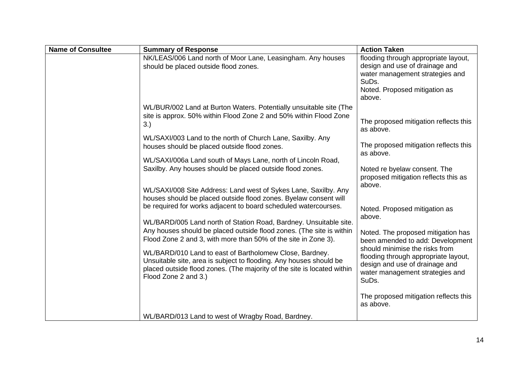| <b>Name of Consultee</b> | <b>Summary of Response</b>                                                                                                                                                                                                       | <b>Action Taken</b>                                                                                                                                           |
|--------------------------|----------------------------------------------------------------------------------------------------------------------------------------------------------------------------------------------------------------------------------|---------------------------------------------------------------------------------------------------------------------------------------------------------------|
|                          | NK/LEAS/006 Land north of Moor Lane, Leasingham. Any houses<br>should be placed outside flood zones.                                                                                                                             | flooding through appropriate layout,<br>design and use of drainage and<br>water management strategies and<br>SuDs.<br>Noted. Proposed mitigation as<br>above. |
|                          | WL/BUR/002 Land at Burton Waters. Potentially unsuitable site (The<br>site is approx. 50% within Flood Zone 2 and 50% within Flood Zone<br>3.)                                                                                   | The proposed mitigation reflects this<br>as above.                                                                                                            |
|                          | WL/SAXI/003 Land to the north of Church Lane, Saxilby. Any<br>houses should be placed outside flood zones.                                                                                                                       | The proposed mitigation reflects this<br>as above.                                                                                                            |
|                          | WL/SAXI/006a Land south of Mays Lane, north of Lincoln Road,<br>Saxilby. Any houses should be placed outside flood zones.                                                                                                        | Noted re byelaw consent. The<br>proposed mitigation reflects this as                                                                                          |
|                          | WL/SAXI/008 Site Address: Land west of Sykes Lane, Saxilby. Any<br>houses should be placed outside flood zones. Byelaw consent will<br>be required for works adjacent to board scheduled watercourses.                           | above.<br>Noted. Proposed mitigation as                                                                                                                       |
|                          | WL/BARD/005 Land north of Station Road, Bardney. Unsuitable site.<br>Any houses should be placed outside flood zones. (The site is within<br>Flood Zone 2 and 3, with more than 50% of the site in Zone 3).                      | above.<br>Noted. The proposed mitigation has<br>been amended to add: Development                                                                              |
|                          | WL/BARD/010 Land to east of Bartholomew Close, Bardney.<br>Unsuitable site, area is subject to flooding. Any houses should be<br>placed outside flood zones. (The majority of the site is located within<br>Flood Zone 2 and 3.) | should minimise the risks from<br>flooding through appropriate layout,<br>design and use of drainage and<br>water management strategies and<br>SuDs.          |
|                          |                                                                                                                                                                                                                                  | The proposed mitigation reflects this<br>as above.                                                                                                            |
|                          | WL/BARD/013 Land to west of Wragby Road, Bardney.                                                                                                                                                                                |                                                                                                                                                               |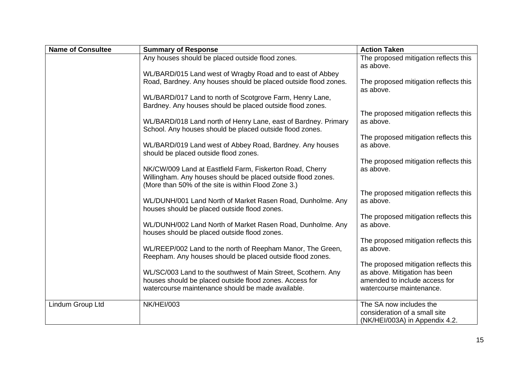| <b>Name of Consultee</b> | <b>Summary of Response</b>                                                                                                 | <b>Action Taken</b>                                             |
|--------------------------|----------------------------------------------------------------------------------------------------------------------------|-----------------------------------------------------------------|
|                          | Any houses should be placed outside flood zones.                                                                           | The proposed mitigation reflects this<br>as above.              |
|                          | WL/BARD/015 Land west of Wragby Road and to east of Abbey                                                                  |                                                                 |
|                          | Road, Bardney. Any houses should be placed outside flood zones.                                                            | The proposed mitigation reflects this<br>as above.              |
|                          | WL/BARD/017 Land to north of Scotgrove Farm, Henry Lane,<br>Bardney. Any houses should be placed outside flood zones.      |                                                                 |
|                          |                                                                                                                            | The proposed mitigation reflects this                           |
|                          | WL/BARD/018 Land north of Henry Lane, east of Bardney. Primary<br>School. Any houses should be placed outside flood zones. | as above.                                                       |
|                          |                                                                                                                            | The proposed mitigation reflects this                           |
|                          | WL/BARD/019 Land west of Abbey Road, Bardney. Any houses<br>should be placed outside flood zones.                          | as above.                                                       |
|                          |                                                                                                                            | The proposed mitigation reflects this                           |
|                          | NK/CW/009 Land at Eastfield Farm, Fiskerton Road, Cherry<br>Willingham. Any houses should be placed outside flood zones.   | as above.                                                       |
|                          | (More than 50% of the site is within Flood Zone 3.)                                                                        |                                                                 |
|                          |                                                                                                                            | The proposed mitigation reflects this                           |
|                          | WL/DUNH/001 Land North of Market Rasen Road, Dunholme. Any<br>houses should be placed outside flood zones.                 | as above.                                                       |
|                          |                                                                                                                            | The proposed mitigation reflects this                           |
|                          | WL/DUNH/002 Land North of Market Rasen Road, Dunholme. Any<br>houses should be placed outside flood zones.                 | as above.                                                       |
|                          |                                                                                                                            | The proposed mitigation reflects this                           |
|                          | WL/REEP/002 Land to the north of Reepham Manor, The Green,<br>Reepham. Any houses should be placed outside flood zones.    | as above.                                                       |
|                          |                                                                                                                            | The proposed mitigation reflects this                           |
|                          | WL/SC/003 Land to the southwest of Main Street, Scothern. Any                                                              | as above. Mitigation has been                                   |
|                          | houses should be placed outside flood zones. Access for<br>watercourse maintenance should be made available.               | amended to include access for<br>watercourse maintenance.       |
| Lindum Group Ltd         | <b>NK/HEI/003</b>                                                                                                          | The SA now includes the                                         |
|                          |                                                                                                                            | consideration of a small site<br>(NK/HEI/003A) in Appendix 4.2. |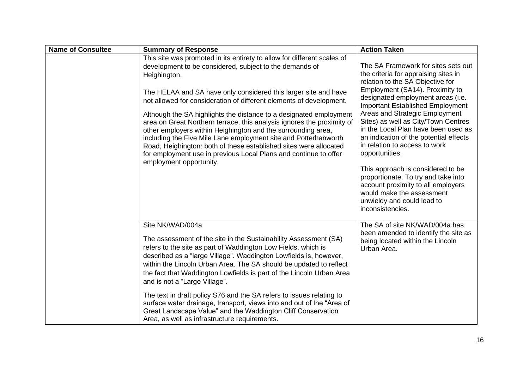| <b>Name of Consultee</b> | <b>Summary of Response</b>                                                                                                                                                                                                                                                                                                                                                                                                                                                                                                                                                                                                                                                                                                                          | <b>Action Taken</b>                                                                                                                                                                                                                                                                                                                                                                                                                                                                                                                                                                                                                              |
|--------------------------|-----------------------------------------------------------------------------------------------------------------------------------------------------------------------------------------------------------------------------------------------------------------------------------------------------------------------------------------------------------------------------------------------------------------------------------------------------------------------------------------------------------------------------------------------------------------------------------------------------------------------------------------------------------------------------------------------------------------------------------------------------|--------------------------------------------------------------------------------------------------------------------------------------------------------------------------------------------------------------------------------------------------------------------------------------------------------------------------------------------------------------------------------------------------------------------------------------------------------------------------------------------------------------------------------------------------------------------------------------------------------------------------------------------------|
|                          | This site was promoted in its entirety to allow for different scales of<br>development to be considered, subject to the demands of<br>Heighington.<br>The HELAA and SA have only considered this larger site and have<br>not allowed for consideration of different elements of development.<br>Although the SA highlights the distance to a designated employment<br>area on Great Northern terrace, this analysis ignores the proximity of<br>other employers within Heighington and the surrounding area,<br>including the Five Mile Lane employment site and Potterhanworth<br>Road, Heighington: both of these established sites were allocated<br>for employment use in previous Local Plans and continue to offer<br>employment opportunity. | The SA Framework for sites sets out<br>the criteria for appraising sites in<br>relation to the SA Objective for<br>Employment (SA14). Proximity to<br>designated employment areas (i.e.<br><b>Important Established Employment</b><br>Areas and Strategic Employment<br>Sites) as well as City/Town Centres<br>in the Local Plan have been used as<br>an indication of the potential effects<br>in relation to access to work<br>opportunities.<br>This approach is considered to be<br>proportionate. To try and take into<br>account proximity to all employers<br>would make the assessment<br>unwieldy and could lead to<br>inconsistencies. |
|                          | Site NK/WAD/004a<br>The assessment of the site in the Sustainability Assessment (SA)<br>refers to the site as part of Waddington Low Fields, which is<br>described as a "large Village". Waddington Lowfields is, however,<br>within the Lincoln Urban Area. The SA should be updated to reflect<br>the fact that Waddington Lowfields is part of the Lincoln Urban Area<br>and is not a "Large Village".<br>The text in draft policy S76 and the SA refers to issues relating to<br>surface water drainage, transport, views into and out of the "Area of<br>Great Landscape Value" and the Waddington Cliff Conservation<br>Area, as well as infrastructure requirements.                                                                         | The SA of site NK/WAD/004a has<br>been amended to identify the site as<br>being located within the Lincoln<br>Urban Area.                                                                                                                                                                                                                                                                                                                                                                                                                                                                                                                        |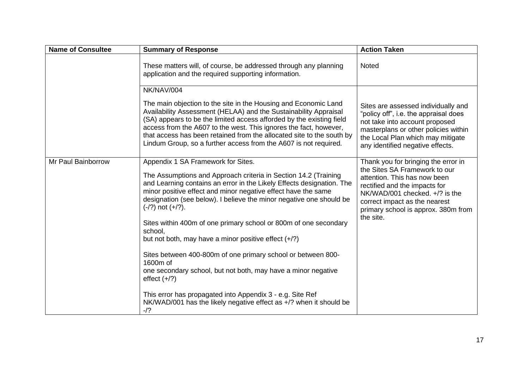| <b>Name of Consultee</b> | <b>Summary of Response</b>                                                                                                                                                                                                                                                                                                                                                                                                    | <b>Action Taken</b>                                                                                                                                                                                                                             |
|--------------------------|-------------------------------------------------------------------------------------------------------------------------------------------------------------------------------------------------------------------------------------------------------------------------------------------------------------------------------------------------------------------------------------------------------------------------------|-------------------------------------------------------------------------------------------------------------------------------------------------------------------------------------------------------------------------------------------------|
|                          | These matters will, of course, be addressed through any planning<br>application and the required supporting information.                                                                                                                                                                                                                                                                                                      | Noted                                                                                                                                                                                                                                           |
|                          | NK/NAV/004                                                                                                                                                                                                                                                                                                                                                                                                                    |                                                                                                                                                                                                                                                 |
|                          | The main objection to the site in the Housing and Economic Land<br>Availability Assessment (HELAA) and the Sustainability Appraisal<br>(SA) appears to be the limited access afforded by the existing field<br>access from the A607 to the west. This ignores the fact, however,<br>that access has been retained from the allocated site to the south by<br>Lindum Group, so a further access from the A607 is not required. | Sites are assessed individually and<br>"policy off", i.e. the appraisal does<br>not take into account proposed<br>masterplans or other policies within<br>the Local Plan which may mitigate<br>any identified negative effects.                 |
| Mr Paul Bainborrow       | Appendix 1 SA Framework for Sites.<br>The Assumptions and Approach criteria in Section 14.2 (Training<br>and Learning contains an error in the Likely Effects designation. The<br>minor positive effect and minor negative effect have the same<br>designation (see below). I believe the minor negative one should be<br>$(-/?)$ not $(+/?)$ .                                                                               | Thank you for bringing the error in<br>the Sites SA Framework to our<br>attention. This has now been<br>rectified and the impacts for<br>NK/WAD/001 checked. +/? is the<br>correct impact as the nearest<br>primary school is approx. 380m from |
|                          | Sites within 400m of one primary school or 800m of one secondary<br>school,<br>but not both, may have a minor positive effect $(+/?)$                                                                                                                                                                                                                                                                                         | the site.                                                                                                                                                                                                                                       |
|                          | Sites between 400-800m of one primary school or between 800-<br>1600m of<br>one secondary school, but not both, may have a minor negative<br>effect $(+/?)$                                                                                                                                                                                                                                                                   |                                                                                                                                                                                                                                                 |
|                          | This error has propagated into Appendix 3 - e.g. Site Ref<br>NK/WAD/001 has the likely negative effect as $+/$ ? when it should be<br>$-12$                                                                                                                                                                                                                                                                                   |                                                                                                                                                                                                                                                 |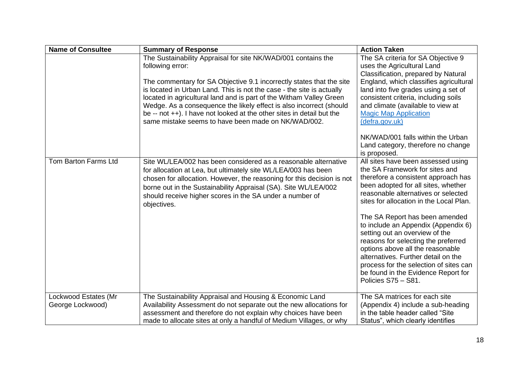| <b>Name of Consultee</b>                 | <b>Summary of Response</b>                                                                                                                                                                                                                                                                                                                                                                                                                                                                                          | <b>Action Taken</b>                                                                                                                                                                                                                                                                                                                                                                                                                                                                                                                                                       |
|------------------------------------------|---------------------------------------------------------------------------------------------------------------------------------------------------------------------------------------------------------------------------------------------------------------------------------------------------------------------------------------------------------------------------------------------------------------------------------------------------------------------------------------------------------------------|---------------------------------------------------------------------------------------------------------------------------------------------------------------------------------------------------------------------------------------------------------------------------------------------------------------------------------------------------------------------------------------------------------------------------------------------------------------------------------------------------------------------------------------------------------------------------|
|                                          | The Sustainability Appraisal for site NK/WAD/001 contains the<br>following error:<br>The commentary for SA Objective 9.1 incorrectly states that the site<br>is located in Urban Land. This is not the case - the site is actually<br>located in agricultural land and is part of the Witham Valley Green<br>Wedge. As a consequence the likely effect is also incorrect (should<br>be -- not $++$ ). I have not looked at the other sites in detail but the<br>same mistake seems to have been made on NK/WAD/002. | The SA criteria for SA Objective 9<br>uses the Agricultural Land<br>Classification, prepared by Natural<br>England, which classifies agricultural<br>land into five grades using a set of<br>consistent criteria, including soils<br>and climate (available to view at<br><b>Magic Map Application</b><br>(defra.gov.uk)                                                                                                                                                                                                                                                  |
|                                          |                                                                                                                                                                                                                                                                                                                                                                                                                                                                                                                     | NK/WAD/001 falls within the Urban<br>Land category, therefore no change<br>is proposed.                                                                                                                                                                                                                                                                                                                                                                                                                                                                                   |
| Tom Barton Farms Ltd                     | Site WL/LEA/002 has been considered as a reasonable alternative<br>for allocation at Lea, but ultimately site WL/LEA/003 has been<br>chosen for allocation. However, the reasoning for this decision is not<br>borne out in the Sustainability Appraisal (SA). Site WL/LEA/002<br>should receive higher scores in the SA under a number of<br>objectives.                                                                                                                                                           | All sites have been assessed using<br>the SA Framework for sites and<br>therefore a consistent approach has<br>been adopted for all sites, whether<br>reasonable alternatives or selected<br>sites for allocation in the Local Plan.<br>The SA Report has been amended<br>to include an Appendix (Appendix 6)<br>setting out an overview of the<br>reasons for selecting the preferred<br>options above all the reasonable<br>alternatives. Further detail on the<br>process for the selection of sites can<br>be found in the Evidence Report for<br>Policies S75 - S81. |
| Lockwood Estates (Mr<br>George Lockwood) | The Sustainability Appraisal and Housing & Economic Land<br>Availability Assessment do not separate out the new allocations for<br>assessment and therefore do not explain why choices have been<br>made to allocate sites at only a handful of Medium Villages, or why                                                                                                                                                                                                                                             | The SA matrices for each site<br>(Appendix 4) include a sub-heading<br>in the table header called "Site<br>Status", which clearly identifies                                                                                                                                                                                                                                                                                                                                                                                                                              |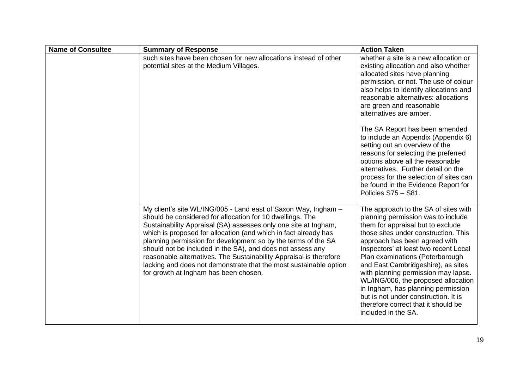| <b>Name of Consultee</b> | <b>Summary of Response</b>                                                                                                                                                                                                                                                                                                                                                                                                                                                                                                                                                           | <b>Action Taken</b>                                                                                                                                                                                                                                                                                                                                                                                                                                                                                                                  |
|--------------------------|--------------------------------------------------------------------------------------------------------------------------------------------------------------------------------------------------------------------------------------------------------------------------------------------------------------------------------------------------------------------------------------------------------------------------------------------------------------------------------------------------------------------------------------------------------------------------------------|--------------------------------------------------------------------------------------------------------------------------------------------------------------------------------------------------------------------------------------------------------------------------------------------------------------------------------------------------------------------------------------------------------------------------------------------------------------------------------------------------------------------------------------|
|                          | such sites have been chosen for new allocations instead of other<br>potential sites at the Medium Villages.                                                                                                                                                                                                                                                                                                                                                                                                                                                                          | whether a site is a new allocation or<br>existing allocation and also whether<br>allocated sites have planning<br>permission, or not. The use of colour<br>also helps to identify allocations and<br>reasonable alternatives: allocations<br>are green and reasonable<br>alternatives are amber.                                                                                                                                                                                                                                     |
|                          |                                                                                                                                                                                                                                                                                                                                                                                                                                                                                                                                                                                      | The SA Report has been amended<br>to include an Appendix (Appendix 6)<br>setting out an overview of the<br>reasons for selecting the preferred<br>options above all the reasonable<br>alternatives. Further detail on the<br>process for the selection of sites can<br>be found in the Evidence Report for<br>Policies S75 - S81.                                                                                                                                                                                                    |
|                          | My client's site WL/ING/005 - Land east of Saxon Way, Ingham -<br>should be considered for allocation for 10 dwellings. The<br>Sustainability Appraisal (SA) assesses only one site at Ingham,<br>which is proposed for allocation (and which in fact already has<br>planning permission for development so by the terms of the SA<br>should not be included in the SA), and does not assess any<br>reasonable alternatives. The Sustainability Appraisal is therefore<br>lacking and does not demonstrate that the most sustainable option<br>for growth at Ingham has been chosen. | The approach to the SA of sites with<br>planning permission was to include<br>them for appraisal but to exclude<br>those sites under construction. This<br>approach has been agreed with<br>Inspectors' at least two recent Local<br>Plan examinations (Peterborough<br>and East Cambridgeshire), as sites<br>with planning permission may lapse.<br>WL/ING/006, the proposed allocation<br>in Ingham, has planning permission<br>but is not under construction. It is<br>therefore correct that it should be<br>included in the SA. |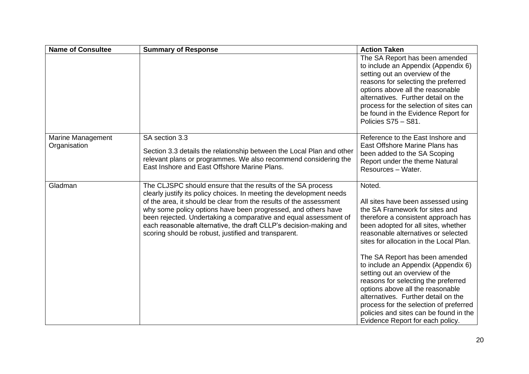| <b>Name of Consultee</b>          | <b>Summary of Response</b>                                                                                                                                                                                                                                                                                                                                                                                                                                                  | <b>Action Taken</b>                                                                                                                                                                                                                                                                                                                                                                                                                                                                                                                                                                                 |
|-----------------------------------|-----------------------------------------------------------------------------------------------------------------------------------------------------------------------------------------------------------------------------------------------------------------------------------------------------------------------------------------------------------------------------------------------------------------------------------------------------------------------------|-----------------------------------------------------------------------------------------------------------------------------------------------------------------------------------------------------------------------------------------------------------------------------------------------------------------------------------------------------------------------------------------------------------------------------------------------------------------------------------------------------------------------------------------------------------------------------------------------------|
|                                   |                                                                                                                                                                                                                                                                                                                                                                                                                                                                             | The SA Report has been amended<br>to include an Appendix (Appendix 6)<br>setting out an overview of the<br>reasons for selecting the preferred<br>options above all the reasonable<br>alternatives. Further detail on the<br>process for the selection of sites can<br>be found in the Evidence Report for<br>Policies S75 - S81.                                                                                                                                                                                                                                                                   |
| Marine Management<br>Organisation | SA section 3.3<br>Section 3.3 details the relationship between the Local Plan and other<br>relevant plans or programmes. We also recommend considering the<br>East Inshore and East Offshore Marine Plans.                                                                                                                                                                                                                                                                  | Reference to the East Inshore and<br>East Offshore Marine Plans has<br>been added to the SA Scoping<br>Report under the theme Natural<br>Resources - Water.                                                                                                                                                                                                                                                                                                                                                                                                                                         |
| Gladman                           | The CLJSPC should ensure that the results of the SA process<br>clearly justify its policy choices. In meeting the development needs<br>of the area, it should be clear from the results of the assessment<br>why some policy options have been progressed, and others have<br>been rejected. Undertaking a comparative and equal assessment of<br>each reasonable alternative, the draft CLLP's decision-making and<br>scoring should be robust, justified and transparent. | Noted.<br>All sites have been assessed using<br>the SA Framework for sites and<br>therefore a consistent approach has<br>been adopted for all sites, whether<br>reasonable alternatives or selected<br>sites for allocation in the Local Plan.<br>The SA Report has been amended<br>to include an Appendix (Appendix 6)<br>setting out an overview of the<br>reasons for selecting the preferred<br>options above all the reasonable<br>alternatives. Further detail on the<br>process for the selection of preferred<br>policies and sites can be found in the<br>Evidence Report for each policy. |